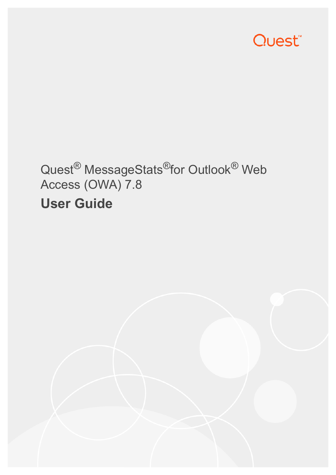

# Quest<sup>®</sup> MessageStats<sup>®</sup>for Outlook<sup>®</sup> Web Access (OWA) 7.8 **User Guide**

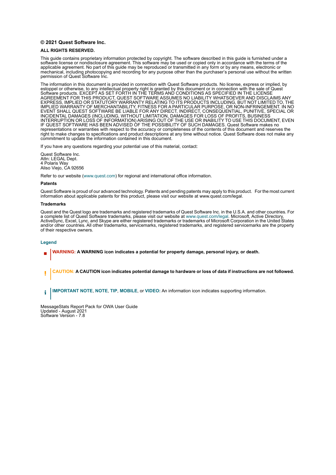#### **© 2021 Quest Software Inc.**

#### **ALL RIGHTS RESERVED.**

This guide contains proprietary information protected by copyright. The software described in this guide is furnished under a software license or nondisclosure agreement. This software may be used or copied only in accordance with the terms of the applicable agreement. No part of this guide may be reproduced or transmitted in any form or by any means, electronic or mechanical, including photocopying and recording for any purpose other than the purchaser's personal use without the written permission of Quest Software Inc.

The information in this document is provided in connection with Quest Software products. No license, express or implied, by estoppel or otherwise, to any intellectual property right is granted by this document or in connection with the sale of Quest<br>Software products. EXCEPT AS SET FORTH IN THE TERMS AND CONDITIONS AS SPECIFIED IN THE LICENSE<br>A EXPRESS, IMPLIED OR STATUTORY WARRANTY RELATING TO ITS PRODUCTS INCLUDING, BUT NOT LIMITED TO, THE IMPLIED WARRANTY OF MERCHANTABILITY, FITNESS FOR A PARTICULAR PURPOSE, OR NON-INFRINGEMENT. IN NO EVENT SHALL QUEST SOFTWARE BE LIABLE FOR ANY DIRECT, INDIRECT, CONSEQUENTIAL, PUNITIVE, SPECIAL OR INCIDENTAL DAMAGES (INCLUDING, WITHOUT LIMITATION, DAMAGES FOR LOSS OF PROFITS, BUSINESS<br>INTERRUPTION OR LOSS OF INFORMATION) ARISING OUT OF THE USE OR INABILITY TO USE THIS DOCUMENT, EVEN IF QUEST SOFTWARE HAS BEEN ADVISED OF THE POSSIBILITY OF SUCH DAMAGES. Quest Software makes no representations or warranties with respect to the accuracy or completeness of the contents of this document and reserves the right to make changes to specifications and product descriptions at any time without notice. Quest Software does not make any commitment to update the information contained in this document.

If you have any questions regarding your potential use of this material, contact:

Quest Software Inc. Attn: LEGAL Dept. 4 Polaris Way Aliso Viejo, CA 92656

Refer to our website [\(www.quest.com](http://www.quest.com)) for regional and international office information.

#### **Patents**

Quest Software is proud of our advanced technology. Patents and pending patents may apply to this product. For the most current information about applicable patents for this product, please visit our website at www.quest.com/legal.

#### **Trademarks**

Quest and the Quest logo are trademarks and registered trademarks of Quest Software Inc. in the U.S.A. and other countries. For a complete list of Quest Software trademarks, please visit our website at [www.quest.com/legal.](http://www.quest.com/legal) Microsoft, Active Directory, ActiveSync, Excel, Lync, and Skype are either registered trademarks or trademarks of Microsoft Corporation in the United States and/or other countries. All other trademarks, servicemarks, registered trademarks, and registered servicemarks are the property of their respective owners.

#### **Legend**

- **WARNING: A WARNING icon indicates a potential for property damage, personal injury, or death.**
- **CAUTION: A CAUTION icon indicates potential damage to hardware or loss of data if instructions are not followed.** Ţ

**IMPORTANT NOTE**, **NOTE**, **TIP**, **MOBILE**, or **VIDEO:** An information icon indicates supporting information.i

MessageStats Report Pack for OWA User Guide Updated - August 2021 Software Version - 7.8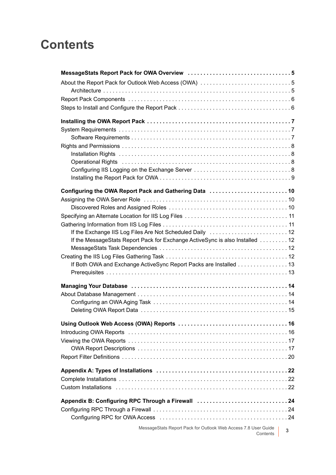## **Contents**

| About the Report Pack for Outlook Web Access (OWA) 5                                                           |   |
|----------------------------------------------------------------------------------------------------------------|---|
|                                                                                                                |   |
|                                                                                                                |   |
|                                                                                                                |   |
|                                                                                                                |   |
|                                                                                                                |   |
|                                                                                                                |   |
|                                                                                                                |   |
|                                                                                                                |   |
|                                                                                                                |   |
|                                                                                                                |   |
|                                                                                                                |   |
|                                                                                                                |   |
| Configuring the OWA Report Pack and Gathering Data  10                                                         |   |
|                                                                                                                |   |
|                                                                                                                |   |
|                                                                                                                |   |
| If the Exchange IIS Log Files Are Not Scheduled Daily  12                                                      |   |
| If the MessageStats Report Pack for Exchange ActiveSync is also Installed 12                                   |   |
|                                                                                                                |   |
|                                                                                                                |   |
| If Both OWA and Exchange ActiveSync Report Packs are Installed 13                                              |   |
|                                                                                                                |   |
| Managing Your Database (and all and according to the matrix and the Managing Your Database (a) and a series of |   |
|                                                                                                                |   |
|                                                                                                                |   |
|                                                                                                                |   |
|                                                                                                                |   |
|                                                                                                                |   |
|                                                                                                                |   |
|                                                                                                                |   |
|                                                                                                                |   |
|                                                                                                                |   |
|                                                                                                                |   |
|                                                                                                                |   |
|                                                                                                                |   |
|                                                                                                                |   |
| Appendix B: Configuring RPC Through a Firewall 24                                                              |   |
|                                                                                                                |   |
|                                                                                                                |   |
| MessageStats Report Pack for Outlook Web Access 7.8 User Guide<br>Contents                                     | 3 |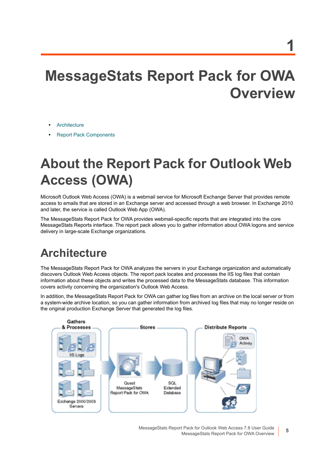# <span id="page-4-0"></span>**MessageStats Report Pack for OWA Overview**

- **•** [Architecture](#page-4-2)
- <span id="page-4-3"></span>**•** [Report Pack Components](#page-5-0)

# <span id="page-4-1"></span>**About the Report Pack for Outlook Web Access (OWA)**

Microsoft Outlook Web Access (OWA) is a webmail service for Microsoft Exchange Server that provides remote access to emails that are stored in an Exchange server and accessed through a web browser. In Exchange 2010 and later, the service is called Outlook Web App (OWA).

The MessageStats Report Pack for OWA provides webmail-specific reports that are integrated into the core MessageStats Reports interface. The report pack allows you to gather information about OWA logons and service delivery in large-scale Exchange organizations.

## <span id="page-4-2"></span>**Architecture**

The MessageStats Report Pack for OWA analyzes the servers in your Exchange organization and automatically discovers Outlook Web Access objects. The report pack locates and processes the IIS log files that contain information about these objects and writes the processed data to the MessageStats database. This information covers activity concerning the organization's Outlook Web Access.

In addition, the MessageStats Report Pack for OWA can gather log files from an archive on the local server or from a system-wide archive location, so you can gather information from archived log files that may no longer reside on the original production Exchange Server that generated the log files.



MessageStats Report Pack for Outlook Web Access 7.8 User Guide MessageStats Report Pack for OWA Overview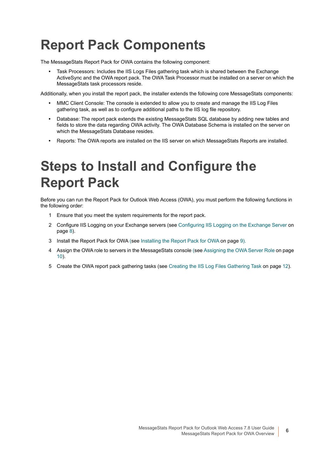# <span id="page-5-0"></span>**Report Pack Components**

The MessageStats Report Pack for OWA contains the following component:

<span id="page-5-2"></span>**•** Task Processors: Includes the IIS Logs Files gathering task which is shared between the Exchange ActiveSync and the OWA report pack. The OWA Task Processor must be installed on a server on which the MessageStats task processors reside.

Additionally, when you install the report pack, the installer extends the following core MessageStats components:

- **•** MMC Client Console: The console is extended to allow you to create and manage the IIS Log Files gathering task, as well as to configure additional paths to the IIS log file repository.
- **•** Database: The report pack extends the existing MessageStats SQL database by adding new tables and fields to store the data regarding OWA activity. The OWA Database Schema is installed on the server on which the MessageStats Database resides.
- **•** Reports: The OWA reports are installed on the IIS server on which MessageStats Reports are installed.

# <span id="page-5-1"></span>**Steps to Install and Configure the Report Pack**

Before you can run the Report Pack for Outlook Web Access (OWA), you must perform the following functions in the following order:

- 1 Ensure that you meet the system requirements for the report pack.
- 2 Configure IIS Logging on your Exchange servers (see [Configuring IIS Logging on the Exchange Server on](#page-7-4)  [page 8](#page-7-4)).
- 3 Install the Report Pack for OWA (see [Installing the Report Pack for OWA on page 9\)](#page-8-1).
- 4 Assign the OWA role to servers in the MessageStats console (see [Assigning the OWA Server Role on page](#page-9-3)  [10\)](#page-9-3).
- 5 Create the OWA report pack gathering tasks (see [Creating the IIS Log Files Gathering Task on page 12\)](#page-11-4).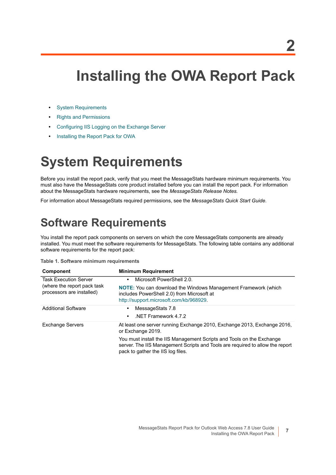# <span id="page-6-0"></span>**Installing the OWA Report Pack**

- **•** [System Requirements](#page-6-1)
- **•** [Rights and Permissions](#page-7-0)
- **•** [Configuring IIS Logging on the Exchange Server](#page-7-3)
- <span id="page-6-4"></span>**•** [Installing the Report Pack for OWA](#page-8-0)

## <span id="page-6-3"></span><span id="page-6-1"></span>**System Requirements**

Before you install the report pack, verify that you meet the MessageStats hardware minimum requirements. You must also have the MessageStats core product installed before you can install the report pack. For information about the MessageStats hardware requirements, see the *MessageStats Release Notes.* 

For information about MessageStats required permissions, see the *MessageStats Quick Start Guide*.

## <span id="page-6-2"></span>**Software Requirements**

<span id="page-6-5"></span>You install the report pack components on servers on which the core MessageStats components are already installed. You must meet the software requirements for MessageStats. The following table contains any additional software requirements for the report pack:

**Table 1. Software minimum requirements**

| <b>Component</b>                                          | <b>Minimum Requirement</b>                                                                                                                                                                  |
|-----------------------------------------------------------|---------------------------------------------------------------------------------------------------------------------------------------------------------------------------------------------|
| <b>Task Execution Server</b>                              | Microsoft PowerShell 2.0.<br>$\bullet$                                                                                                                                                      |
| (where the report pack task)<br>processors are installed) | <b>NOTE:</b> You can download the Windows Management Framework (which<br>includes PowerShell 2.0) from Microsoft at<br>http://support.microsoft.com/kb/968929.                              |
| <b>Additional Software</b>                                | MessageStats 7.8<br>٠                                                                                                                                                                       |
|                                                           | NET Framework 4.7.2<br>$\bullet$                                                                                                                                                            |
| <b>Exchange Servers</b>                                   | At least one server running Exchange 2010, Exchange 2013, Exchange 2016,<br>or Exchange 2019.                                                                                               |
|                                                           | You must install the IIS Management Scripts and Tools on the Exchange<br>server. The IIS Management Scripts and Tools are required to allow the report<br>pack to gather the IIS log files. |

**7**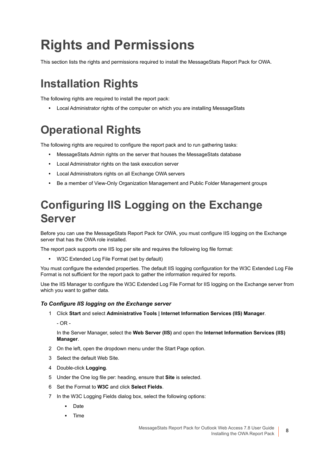# <span id="page-7-5"></span><span id="page-7-0"></span>**Rights and Permissions**

This section lists the rights and permissions required to install the MessageStats Report Pack for OWA.

## <span id="page-7-1"></span>**Installation Rights**

The following rights are required to install the report pack:

<span id="page-7-6"></span>**•** Local Administrator rights of the computer on which you are installing MessageStats

## <span id="page-7-2"></span>**Operational Rights**

The following rights are required to configure the report pack and to run gathering tasks:

- <span id="page-7-7"></span>**•** MessageStats Admin rights on the server that houses the MessageStats database
- **•** Local Administrator rights on the task execution server
- **•** Local Administrators rights on all Exchange OWA servers
- **•** Be a member of View-Only Organization Management and Public Folder Management groups

## <span id="page-7-4"></span><span id="page-7-3"></span>**Configuring IIS Logging on the Exchange Server**

Before you can use the MessageStats Report Pack for OWA, you must configure IIS logging on the Exchange server that has the OWA role installed.

The report pack supports one IIS log per site and requires the following log file format:

<span id="page-7-8"></span>**•** W3C Extended Log File Format (set by default)

You must configure the extended properties. The default IIS logging configuration for the W3C Extended Log File Format is not sufficient for the report pack to gather the information required for reports.

Use the IIS Manager to configure the W3C Extended Log File Format for IIS logging on the Exchange server from which you want to gather data.

#### *To Configure IIS logging on the Exchange server*

- 1 Click **Start** and select **Administrative Tools | Internet Information Services (IIS) Manager**.
	- $-$  OR  $-$

In the Server Manager, select the **Web Server (IIS)** and open the **Internet Information Services (IIS) Manager**.

- 2 On the left, open the dropdown menu under the Start Page option.
- 3 Select the default Web Site.
- 4 Double-click **Logging**.
- 5 Under the One log file per: heading, ensure that **Site** is selected.
- 6 Set the Format to **W3C** and click **Select Fields**.
- 7 In the W3C Logging Fields dialog box, select the following options:
	- **▪** Date
	- **▪** Time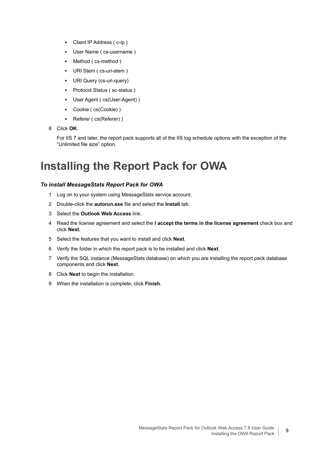- **▪** Client IP Address ( c-ip )
- User Name ( cs-username )
- **▪** Method ( cs-method )
- URI Stem ( cs-uri-stem )
- **URI Query (cs-uri-query)**
- **▪** Protocol Status ( sc-status )
- User Agent ( cs(User-Agent) )
- **▪** Cookie ( cs(Cookie) )
- **▪** Referer ( cs(Referer) )
- 8 Click **OK**.

For IIS 7 and later, the report pack supports all of the IIS log schedule options with the exception of the "Unlimited file size" option.

## <span id="page-8-1"></span><span id="page-8-0"></span>**Installing the Report Pack for OWA**

#### *To install MessageStats Report Pack for OWA*

- 1 Log on to your system using MessageStats service account.
- 2 Double-click the **autorun.exe** file and select the **Install** tab.
- 3 Select the **Outlook Web Access** link.
- 4 Read the license agreement and select the **I accept the terms in the license agreement** check box and click **Next.**
- 5 Select the features that you want to install and click **Next**.
- 6 Verify the folder in which the report pack is to be installed and click **Next**.
- 7 Verify the SQL instance (MessageStats database) on which you are installing the report pack database components and click **Next**.
- 8 Click **Next** to begin the installation.
- 9 When the installation is complete, click **Finish**.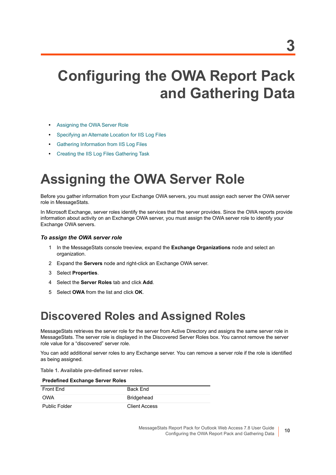# <span id="page-9-0"></span>**Configuring the OWA Report Pack and Gathering Data**

- **•** [Assigning the OWA Server Role](#page-9-1)
- **•** [Specifying an Alternate Location for IIS Log Files](#page-10-0)
- **•** [Gathering Information from IIS Log Files](#page-10-1)
- **•** [Creating the IIS Log Files Gathering Task](#page-11-3)

# <span id="page-9-3"></span><span id="page-9-1"></span>**Assigning the OWA Server Role**

Before you gather information from your Exchange OWA servers, you must assign each server the OWA server role in MessageStats.

In Microsoft Exchange, server roles identify the services that the server provides. Since the OWA reports provide information about activity on an Exchange OWA server, you must assign the OWA server role to identify your Exchange OWA servers.

#### *To assign the OWA server role*

- <span id="page-9-4"></span>1 In the MessageStats console treeview, expand the **Exchange Organizations** node and select an organization.
- 2 Expand the **Servers** node and right-click an Exchange OWA server.
- 3 Select **Properties**.
- 4 Select the **Server Roles** tab and click **Add**.
- 5 Select **OWA** from the list and click **OK**.

## <span id="page-9-2"></span>**Discovered Roles and Assigned Roles**

MessageStats retrieves the server role for the server from Active Directory and assigns the same server role in MessageStats. The server role is displayed in the Discovered Server Roles box. You cannot remove the server role value for a "discovered" server role.

You can add additional server roles to any Exchange server. You can remove a server role if the role is identified as being assigned.

**Table 1. Available pre-defined server roles.**

| <b>Predefined Exchange Server Roles</b> |                      |  |
|-----------------------------------------|----------------------|--|
| Front Fnd                               | <b>Back Fnd</b>      |  |
| <b>OWA</b>                              | <b>Bridgehead</b>    |  |
| <b>Public Folder</b>                    | <b>Client Access</b> |  |

MessageStats Report Pack for Outlook Web Access 7.8 User Guide Configuring the OWA Report Pack and Gathering Data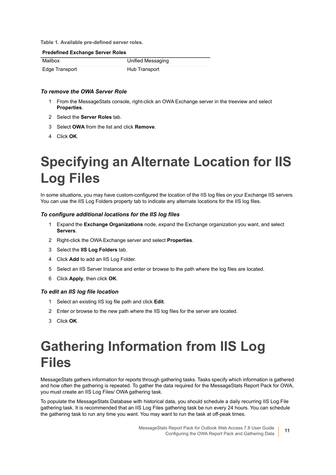**Table 1. Available pre-defined server roles.**

#### **Predefined Exchange Server Roles**

| Mailbox        | Unified Messaging |
|----------------|-------------------|
| Edge Transport | Hub Transport     |

#### *To remove the OWA Server Role*

- 1 From the MessageStats console, right-click an OWA Exchange server in the treeview and select **Properties**.
- 2 Select the **Server Roles** tab.
- 3 Select **OWA** from the list and click **Remove**.
- 4 Click **OK**.

# <span id="page-10-0"></span>**Specifying an Alternate Location for IIS Log Files**

In some situations, you may have custom-configured the location of the IIS log files on your Exchange IIS servers. You can use the IIS Log Folders property tab to indicate any alternate locations for the IIS log files.

#### *To configure additional locations for the IIS log files*

- <span id="page-10-3"></span>1 Expand the **Exchange Organizations** node, expand the Exchange organization you want, and select **Servers**.
- 2 Right-click the OWA Exchange server and select **Properties**.
- 3 Select the **IIS Log Folders** tab.
- 4 Click **Add** to add an IIS Log Folder.
- 5 Select an IIS Server Instance and enter or browse to the path where the log files are located.
- 6 Click **Apply**, then click **OK**.

#### *To edit an IIS log file location*

- 1 Select an existing IIS log file path and click **Edit**.
- 2 Enter or browse to the new path where the IIS log files for the server are located.
- 3 Click **OK**.

# <span id="page-10-1"></span>**Gathering Information from IIS Log Files**

MessageStats gathers information for reports through gathering tasks. Tasks specify which information is gathered and how often the gathering is repeated. To gather the data required for the MessageStats Report Pack for OWA, you must create an IIS Log Files/ OWA gathering task.

<span id="page-10-2"></span>To populate the MessageStats Database with historical data, you should schedule a daily recurring IIS Log File gathering task. It is recommended that an IIS Log Files gathering task be run every 24 hours. You can schedule the gathering task to run any time you want. You may want to run the task at off-peak times.

> MessageStats Report Pack for Outlook Web Access 7.8 User Guide Configuring the OWA Report Pack and Gathering Data **<sup>11</sup>**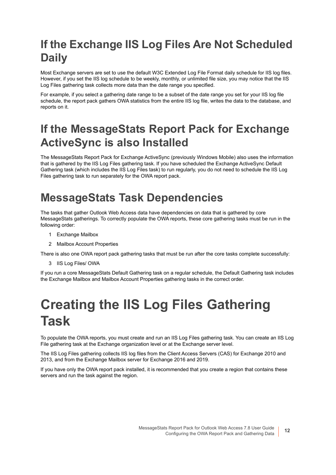## <span id="page-11-0"></span>**If the Exchange IIS Log Files Are Not Scheduled Daily**

Most Exchange servers are set to use the default W3C Extended Log File Format daily schedule for IIS log files. However, if you set the IIS log schedule to be weekly, monthly, or unlimited file size, you may notice that the IIS Log Files gathering task collects more data than the date range you specified.

For example, if you select a gathering date range to be a subset of the date range you set for your IIS log file schedule, the report pack gathers OWA statistics from the entire IIS log file, writes the data to the database, and reports on it.

## <span id="page-11-1"></span>**If the MessageStats Report Pack for Exchange ActiveSync is also Installed**

The MessageStats Report Pack for Exchange ActiveSync (previously Windows Mobile) also uses the information that is gathered by the IIS Log Files gathering task. If you have scheduled the Exchange ActiveSync Default Gathering task (which includes the IIS Log Files task) to run regularly, you do not need to schedule the IIS Log Files gathering task to run separately for the OWA report pack.

## <span id="page-11-5"></span><span id="page-11-2"></span>**MessageStats Task Dependencies**

The tasks that gather Outlook Web Access data have dependencies on data that is gathered by core MessageStats gatherings. To correctly populate the OWA reports, these core gathering tasks must be run in the following order:

- 1 Exchange Mailbox
- 2 Mailbox Account Properties

There is also one OWA report pack gathering tasks that must be run after the core tasks complete successfully:

3 IIS Log Files/ OWA

If you run a core MessageStats Default Gathering task on a regular schedule, the Default Gathering task includes the Exchange Mailbox and Mailbox Account Properties gathering tasks in the correct order.

# <span id="page-11-4"></span><span id="page-11-3"></span>**Creating the IIS Log Files Gathering Task**

To populate the OWA reports, you must create and run an IIS Log Files gathering task. You can create an IIS Log File gathering task at the Exchange organization level or at the Exchange server level.

The IIS Log Files gathering collects IIS log files from the Client Access Servers (CAS) for Exchange 2010 and 2013, and from the Exchange Mailbox server for Exchange 2016 and 2019.

If you have only the OWA report pack installed, it is recommended that you create a region that contains these servers and run the task against the region.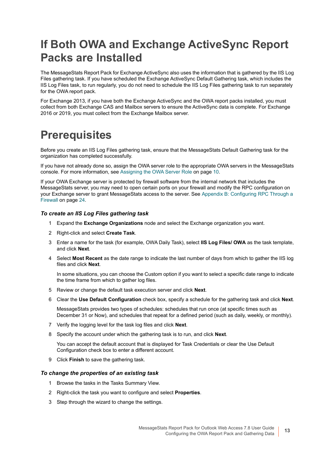## <span id="page-12-0"></span>**If Both OWA and Exchange ActiveSync Report Packs are Installed**

The MessageStats Report Pack for Exchange ActiveSync also uses the information that is gathered by the IIS Log Files gathering task. If you have scheduled the Exchange ActiveSync Default Gathering task, which includes the IIS Log Files task, to run regularly, you do not need to schedule the IIS Log Files gathering task to run separately for the OWA report pack.

For Exchange 2013, if you have both the Exchange ActiveSync and the OWA report packs installed, you must collect from both Exchange CAS and Mailbox servers to ensure the ActiveSync data is complete. For Exchange 2016 or 2019, you must collect from the Exchange Mailbox server.

## <span id="page-12-1"></span>**Prerequisites**

Before you create an IIS Log Files gathering task, ensure that the MessageStats Default Gathering task for the organization has completed successfully.

If you have not already done so, assign the OWA server role to the appropriate OWA servers in the MessageStats console. For more information, see [Assigning the OWA Server Role on page 10.](#page-9-1)

If your OWA Exchange server is protected by firewall software from the internal network that includes the MessageStats server, you may need to open certain ports on your firewall and modify the RPC configuration on your Exchange server to grant MessageStats access to the server. See [Appendix B: Configuring RPC Through a](#page-23-3)  [Firewall on page 24](#page-23-3).

#### *To create an IIS Log Files gathering task*

- 1 Expand the **Exchange Organizations** node and select the Exchange organization you want.
- 2 Right-click and select **Create Task**.
- 3 Enter a name for the task (for example, OWA Daily Task), select **IIS Log Files/ OWA** as the task template, and click **Next**.
- 4 Select **Most Recent** as the date range to indicate the last number of days from which to gather the IIS log files and click **Next**.

In some situations, you can choose the Custom option if you want to select a specific date range to indicate the time frame from which to gather log files.

- 5 Review or change the default task execution server and click **Next**.
- 6 Clear the **Use Default Configuration** check box, specify a schedule for the gathering task and click **Next**.

MessageStats provides two types of schedules: schedules that run once (at specific times such as December 31 or Now), and schedules that repeat for a defined period (such as daily, weekly, or monthly).

- 7 Verify the logging level for the task log files and click **Next**.
- 8 Specify the account under which the gathering task is to run, and click **Next**.

<span id="page-12-2"></span>You can accept the default account that is displayed for Task Credentials or clear the Use Default Configuration check box to enter a different account.

9 Click **Finish** to save the gathering task.

#### *To change the properties of an existing task*

- 1 Browse the tasks in the Tasks Summary View.
- 2 Right-click the task you want to configure and select **Properties**.
- 3 Step through the wizard to change the settings.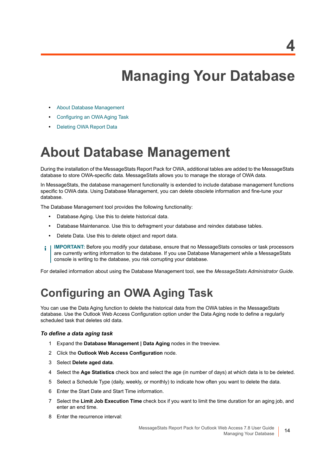**4**

# **Managing Your Database**

- <span id="page-13-0"></span>**•** [About Database Management](#page-13-1)
- **•** [Configuring an OWA Aging Task](#page-13-2)
- **•** [Deleting OWA Report Data](#page-14-0)

## <span id="page-13-1"></span>**About Database Management**

During the installation of the MessageStats Report Pack for OWA, additional tables are added to the MessageStats database to store OWA-specific data. MessageStats allows you to manage the storage of OWA data.

In MessageStats, the database management functionality is extended to include database management functions specific to OWA data. Using Database Management, you can delete obsolete information and fine-tune your database.

The Database Management tool provides the following functionality:

- **•** Database Aging. Use this to delete historical data.
- **•** Database Maintenance. Use this to defragment your database and reindex database tables.
- **•** Delete Data. Use this to delete object and report data.
- **IMPORTANT:** Before you modify your database, ensure that no MessageStats consoles or task processors f. are currently writing information to the database. If you use Database Management while a MessageStats console is writing to the database, you risk corrupting your database.

For detailed information about using the Database Management tool, see the *MessageStats Administrator Guide*.

## <span id="page-13-2"></span>**Configuring an OWA Aging Task**

<span id="page-13-3"></span>You can use the Data Aging function to delete the historical data from the OWA tables in the MessageStats database. Use the Outlook Web Access Configuration option under the Data Aging node to define a regularly scheduled task that deletes old data.

#### *To define a data aging task*

- 1 Expand the **Database Management | Data Aging** nodes in the treeview.
- 2 Click the **Outlook Web Access Configuration** node.
- 3 Select **Delete aged data**.
- 4 Select the **Age Statistics** check box and select the age (in number of days) at which data is to be deleted.
- 5 Select a Schedule Type (daily, weekly, or monthly) to indicate how often you want to delete the data.
- 6 Enter the Start Date and Start Time information.
- 7 Select the **Limit Job Execution Time** check box if you want to limit the time duration for an aging job, and enter an end time.
- 8 Enter the recurrence interval: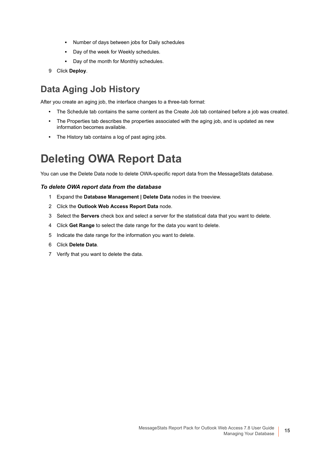- **▪** Number of days between jobs for Daily schedules
- **▪** Day of the week for Weekly schedules.
- <span id="page-14-1"></span>**▪** Day of the month for Monthly schedules.
- 9 Click **Deploy**.

## **Data Aging Job History**

After you create an aging job, the interface changes to a three-tab format:

- **•** The Schedule tab contains the same content as the Create Job tab contained before a job was created.
- **•** The Properties tab describes the properties associated with the aging job, and is updated as new information becomes available.
- <span id="page-14-2"></span>**•** The History tab contains a log of past aging jobs.

## <span id="page-14-0"></span>**Deleting OWA Report Data**

You can use the Delete Data node to delete OWA-specific report data from the MessageStats database.

### *To delete OWA report data from the database*

- 1 Expand the **Database Management | Delete Data** nodes in the treeview.
- 2 Click the **Outlook Web Access Report Data** node.
- 3 Select the **Servers** check box and select a server for the statistical data that you want to delete.
- 4 Click **Get Range** to select the date range for the data you want to delete.
- 5 Indicate the date range for the information you want to delete.
- 6 Click **Delete Data**.
- 7 Verify that you want to delete the data.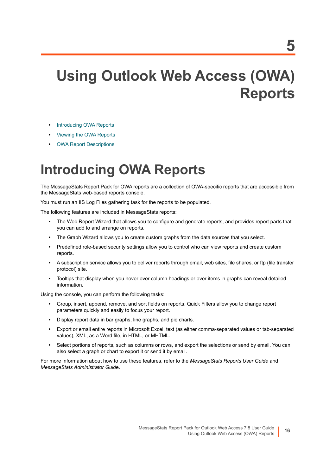# <span id="page-15-0"></span>**Using Outlook Web Access (OWA) Reports**

- **•** [Introducing OWA Reports](#page-15-1)
- **•** [Viewing the OWA Reports](#page-16-0)
- **•** [OWA Report Descriptions](#page-16-1)

# <span id="page-15-1"></span>**Introducing OWA Reports**

The MessageStats Report Pack for OWA reports are a collection of OWA-specific reports that are accessible from the MessageStats web-based reports console.

You must run an IIS Log Files gathering task for the reports to be populated.

The following features are included in MessageStats reports:

- **•** The Web Report Wizard that allows you to configure and generate reports, and provides report parts that you can add to and arrange on reports.
- **•** The Graph Wizard allows you to create custom graphs from the data sources that you select.
- **•** Predefined role-based security settings allow you to control who can view reports and create custom reports.
- **•** A subscription service allows you to deliver reports through email, web sites, file shares, or ftp (file transfer protocol) site.
- **•** Tooltips that display when you hover over column headings or over items in graphs can reveal detailed information.

Using the console, you can perform the following tasks:

- **•** Group, insert, append, remove, and sort fields on reports. Quick Filters allow you to change report parameters quickly and easily to focus your report.
- **•** Display report data in bar graphs, line graphs, and pie charts.
- **•** Export or email entire reports in Microsoft Excel, text (as either comma-separated values or tab-separated values), XML, as a Word file, in HTML, or MHTML.
- **•** Select portions of reports, such as columns or rows, and export the selections or send by email. You can also select a graph or chart to export it or send it by email.

For more information about how to use these features, refer to the *MessageStats Reports User Guide* and *MessageStats Administrator Guid*e.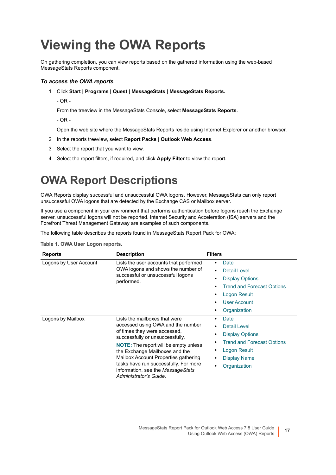# <span id="page-16-5"></span><span id="page-16-2"></span><span id="page-16-0"></span>**Viewing the OWA Reports**

On gathering completion, you can view reports based on the gathered information using the web-based MessageStats Reports component.

#### *To access the OWA reports*

- 1 Click **Start | Programs | Quest | MessageStats | MessageStats Reports.**
	- OR -

From the treeview in the MessageStats Console, select **MessageStats Reports**.

- OR -

Open the web site where the MessageStats Reports reside using Internet Explorer or another browser.

- 2 In the reports treeview, select **Report Packs** | **Outlook Web Access**.
- 3 Select the report that you want to view.
- 4 Select the report filters, if required, and click **Apply Filter** to view the report.

## <span id="page-16-1"></span>**OWA Report Descriptions**

OWA Reports display successful and unsuccessful OWA logons. However, MessageStats can only report unsuccessful OWA logons that are detected by the Exchange CAS or Mailbox server.

If you use a component in your environment that performs authentication before logons reach the Exchange server, unsuccessful logons will not be reported. Internet Security and Acceleration (ISA) servers and the Forefront Threat Management Gateway are examples of such components.

The following table describes the reports found in MessageStats Report Pack for OWA:

<span id="page-16-4"></span><span id="page-16-3"></span>

| <b>Reports</b>         | <b>Description</b>                                                                                                                                                                                                                                                                                                                                                      | <b>Filters</b>                                                                                                                                                                          |
|------------------------|-------------------------------------------------------------------------------------------------------------------------------------------------------------------------------------------------------------------------------------------------------------------------------------------------------------------------------------------------------------------------|-----------------------------------------------------------------------------------------------------------------------------------------------------------------------------------------|
| Logons by User Account | Lists the user accounts that performed<br>OWA logons and shows the number of<br>successful or unsuccessful logons<br>performed.                                                                                                                                                                                                                                         | Date<br>٠<br><b>Detail Level</b><br>$\bullet$<br><b>Display Options</b><br>٠<br><b>Trend and Forecast Options</b><br>٠<br>Logon Result<br><b>User Account</b><br>٠<br>Organization<br>٠ |
| Logons by Mailbox      | Lists the mailboxes that were<br>accessed using OWA and the number<br>of times they were accessed,<br>successfully or unsuccessfully.<br><b>NOTE:</b> The report will be empty unless<br>the Exchange Mailboxes and the<br>Mailbox Account Properties gathering<br>tasks have run successfully. For more<br>information, see the MessageStats<br>Administrator's Guide. | Date<br>٠<br><b>Detail Level</b><br>٠<br><b>Display Options</b><br><b>Trend and Forecast Options</b><br>Logon Result<br><b>Display Name</b><br>٠<br>Organization                        |

**Table 1. OWA User Logon reports.**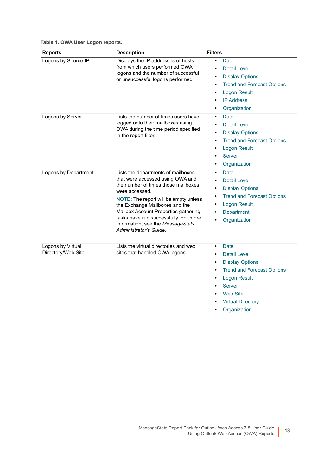| Table 1. OWA User Logon reports. |  |  |  |
|----------------------------------|--|--|--|
|----------------------------------|--|--|--|

<span id="page-17-3"></span><span id="page-17-2"></span><span id="page-17-1"></span><span id="page-17-0"></span>

| <b>Reports</b>                          | <b>Description</b>                                                                                                                                                                                                                                                                                                                                                | <b>Filters</b>                                                                                                                                                                                                                                  |
|-----------------------------------------|-------------------------------------------------------------------------------------------------------------------------------------------------------------------------------------------------------------------------------------------------------------------------------------------------------------------------------------------------------------------|-------------------------------------------------------------------------------------------------------------------------------------------------------------------------------------------------------------------------------------------------|
| Logons by Source IP                     | Displays the IP addresses of hosts<br>from which users performed OWA<br>logons and the number of successful<br>or unsuccessful logons performed.                                                                                                                                                                                                                  | <b>Date</b><br>$\bullet$<br><b>Detail Level</b><br>$\bullet$<br><b>Display Options</b><br>$\bullet$<br><b>Trend and Forecast Options</b><br>$\bullet$<br><b>Logon Result</b><br>$\bullet$<br><b>IP Address</b><br>Organization                  |
| Logons by Server                        | Lists the number of times users have<br>logged onto their mailboxes using<br>OWA during the time period specified<br>in the report filter,.                                                                                                                                                                                                                       | Date<br>$\bullet$<br><b>Detail Level</b><br><b>Display Options</b><br>$\bullet$<br><b>Trend and Forecast Options</b><br>٠<br><b>Logon Result</b><br>$\bullet$<br><b>Server</b><br>Organization                                                  |
| Logons by Department                    | Lists the departments of mailboxes<br>that were accessed using OWA and<br>the number of times those mailboxes<br>were accessed.<br><b>NOTE:</b> The report will be empty unless<br>the Exchange Mailboxes and the<br>Mailbox Account Properties gathering<br>tasks have run successfully. For more<br>information, see the MessageStats<br>Administrator's Guide. | <b>Date</b><br>$\bullet$<br><b>Detail Level</b><br>$\bullet$<br><b>Display Options</b><br>$\bullet$<br><b>Trend and Forecast Options</b><br>$\bullet$<br><b>Logon Result</b><br>Department<br>Organization<br>$\bullet$                         |
| Logons by Virtual<br>Directory/Web Site | Lists the virtual directories and web<br>sites that handled OWA logons.                                                                                                                                                                                                                                                                                           | <b>Date</b><br>$\bullet$<br><b>Detail Level</b><br>$\bullet$<br><b>Display Options</b><br>$\bullet$<br><b>Trend and Forecast Options</b><br><b>Logon Result</b><br><b>Server</b><br><b>Web Site</b><br><b>Virtual Directory</b><br>Organization |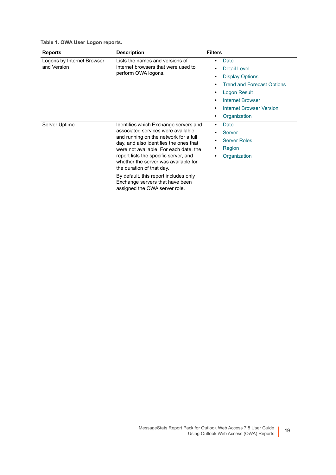**Table 1. OWA User Logon reports.**

<span id="page-18-1"></span><span id="page-18-0"></span>

| <b>Reports</b>                            | <b>Description</b>                                                                                                                                                                                                                                                                                                                                                                                                                  | <b>Filters</b>                                                                                                                                                                                                                                    |
|-------------------------------------------|-------------------------------------------------------------------------------------------------------------------------------------------------------------------------------------------------------------------------------------------------------------------------------------------------------------------------------------------------------------------------------------------------------------------------------------|---------------------------------------------------------------------------------------------------------------------------------------------------------------------------------------------------------------------------------------------------|
| Logons by Internet Browser<br>and Version | Lists the names and versions of<br>internet browsers that were used to<br>perform OWA logons.                                                                                                                                                                                                                                                                                                                                       | Date<br>$\bullet$<br>Detail Level<br>$\bullet$<br><b>Display Options</b><br>٠<br><b>Trend and Forecast Options</b><br>٠<br>Logon Result<br>٠<br><b>Internet Browser</b><br>٠<br><b>Internet Browser Version</b><br>$\bullet$<br>Organization<br>٠ |
| Server Uptime                             | Identifies which Exchange servers and<br>associated services were available<br>and running on the network for a full<br>day, and also identifies the ones that<br>were not available. For each date, the<br>report lists the specific server, and<br>whether the server was available for<br>the duration of that day.<br>By default, this report includes only<br>Exchange servers that have been<br>assigned the OWA server role. | Date<br>٠<br><b>Server</b><br>٠<br><b>Server Roles</b><br>٠<br>Region<br>٠<br>Organization<br>$\bullet$                                                                                                                                           |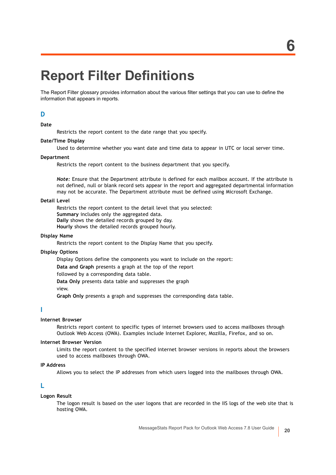# <span id="page-19-0"></span>**Report Filter Definitions**

The Report Filter glossary provides information about the various filter settings that you can use to define the information that appears in reports.

### **D**

#### <span id="page-19-1"></span>**Date**

Restricts the report content to the date range that you specify.

#### **Date/Time Display**

Used to determine whether you want date and time data to appear in UTC or local server time.

#### <span id="page-19-7"></span>**Department**

Restricts the report content to the business department that you specify.

*Note:* Ensure that the Department attribute is defined for each mailbox account. If the attribute is not defined, null or blank record sets appear in the report and aggregated departmental information may not be accurate. The Department attribute must be defined using Microsoft Exchange.

#### <span id="page-19-3"></span>**Detail Level**

Restricts the report content to the detail level that you selected: **Summary** includes only the aggregated data. **Daily** shows the detailed records grouped by day. **Hourly** shows the detailed records grouped hourly.

#### <span id="page-19-5"></span>**Display Name**

Restricts the report content to the Display Name that you specify.

#### <span id="page-19-4"></span>**Display Options**

Display Options define the components you want to include on the report:

**Data and Graph** presents a graph at the top of the report

followed by a corresponding data table.

**Data Only** presents data table and suppresses the graph

view.

**Graph Only** presents a graph and suppresses the corresponding data table.

#### **I**

#### <span id="page-19-8"></span>**Internet Browser**

Restricts report content to specific types of internet browsers used to access mailboxes through Outlook Web Access (OWA). Examples include Internet Explorer, Mozilla, Firefox, and so on.

#### <span id="page-19-9"></span>**Internet Browser Version**

Limits the report content to the specified internet browser versions in reports about the browsers used to access mailboxes through OWA.

#### <span id="page-19-6"></span>**IP Address**

Allows you to select the IP addresses from which users logged into the mailboxes through OWA.

### **L**

#### <span id="page-19-2"></span>**Logon Result**

The logon result is based on the user logons that are recorded in the IIS logs of the web site that is hosting OWA.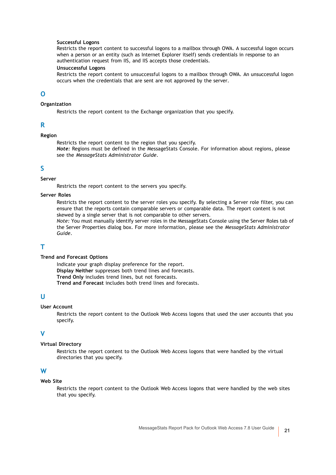#### **Successful Logons**

Restricts the report content to successful logons to a mailbox through OWA. A successful logon occurs when a person or an entity (such as Internet Explorer itself) sends credentials in response to an authentication request from IIS, and IIS accepts those credentials.

#### **Unsuccessful Logons**

Restricts the report content to unsuccessful logons to a mailbox through OWA. An unsuccessful logon occurs when the credentials that are sent are not approved by the server.

### **O**

#### <span id="page-20-2"></span>**Organization**

Restricts the report content to the Exchange organization that you specify.

#### **R**

### <span id="page-20-7"></span>**Region**

Restricts the report content to the region that you specify.

*Note:* Regions must be defined in the MessageStats Console. For information about regions, please see the *MessageStats Administrator Guide*.

#### **S**

#### <span id="page-20-3"></span>**Server**

Restricts the report content to the servers you specify.

### <span id="page-20-6"></span>**Server Roles**

Restricts the report content to the server roles you specify. By selecting a Server role filter, you can ensure that the reports contain comparable servers or comparable data. The report content is not skewed by a single server that is not comparable to other servers.

*Note:* You must manually identify server roles in the MessageStats Console using the Server Roles tab of the Server Properties dialog box. For more information, please see the *MessageStats Administrator Guide*.

### **T**

#### <span id="page-20-0"></span>**Trend and Forecast Options**

Indicate your graph display preference for the report. **Display Neither** suppresses both trend lines and forecasts. **Trend Only** includes trend lines, but not forecasts. **Trend and Forecast** includes both trend lines and forecasts.

### **U**

#### <span id="page-20-1"></span>**User Account**

Restricts the report content to the Outlook Web Access logons that used the user accounts that you specify.

#### **V**

#### <span id="page-20-5"></span>**Virtual Directory**

Restricts the report content to the Outlook Web Access logons that were handled by the virtual directories that you specify.

#### **W**

#### <span id="page-20-4"></span>**Web Site**

Restricts the report content to the Outlook Web Access logons that were handled by the web sites that you specify.

MessageStats Report Pack for Outlook Web Access 7.8 User Guide **<sup>21</sup>**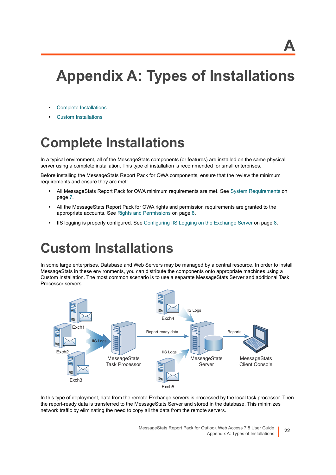# **A**

# <span id="page-21-0"></span>**Appendix A: Types of Installations**

- **•** [Complete Installations](#page-21-1)
- <span id="page-21-3"></span>**•** [Custom Installations](#page-21-2)

# <span id="page-21-1"></span>**Complete Installations**

In a typical environment, all of the MessageStats components (or features) are installed on the same physical server using a complete installation. This type of installation is recommended for small enterprises.

Before installing the MessageStats Report Pack for OWA components, ensure that the review the minimum requirements and ensure they are met:

- **•** All MessageStats Report Pack for OWA minimum requirements are met. See [System Requirements on](#page-6-3)  [page 7](#page-6-3).
- **•** All the MessageStats Report Pack for OWA rights and permission requirements are granted to the appropriate accounts. See [Rights and Permissions on page 8](#page-7-5).
- <span id="page-21-4"></span>**•** IIS logging is properly configured. See [Configuring IIS Logging on the Exchange Server on page 8](#page-7-4).

## <span id="page-21-2"></span>**Custom Installations**

In some large enterprises, Database and Web Servers may be managed by a central resource. In order to install MessageStats in these environments, you can distribute the components onto appropriate machines using a Custom Installation. The most common scenario is to use a separate MessageStats Server and additional Task Processor servers.



In this type of deployment, data from the remote Exchange servers is processed by the local task processor. Then the report-ready data is transferred to the MessageStats Server and stored in the database. This minimizes network traffic by eliminating the need to copy all the data from the remote servers.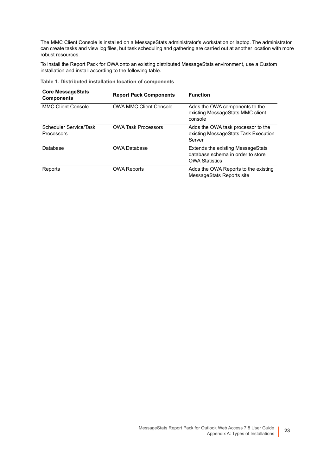The MMC Client Console is installed on a MessageStats administrator's workstation or laptop. The administrator can create tasks and view log files, but task scheduling and gathering are carried out at another location with more robust resources.

To install the Report Pack for OWA onto an existing distributed MessageStats environment, use a Custom installation and install according to the following table.

**Table 1. Distributed installation location of components**

| <b>Core MessageStats</b><br><b>Components</b> | <b>Report Pack Components</b> | <b>Function</b>                                                                                 |
|-----------------------------------------------|-------------------------------|-------------------------------------------------------------------------------------------------|
| <b>MMC Client Console</b>                     | <b>OWA MMC Client Console</b> | Adds the OWA components to the<br>existing MessageStats MMC client<br>console                   |
| Scheduler Service/Task<br><b>Processors</b>   | <b>OWA Task Processors</b>    | Adds the OWA task processor to the<br>existing MessageStats Task Execution<br>Server            |
| Database                                      | <b>OWA Database</b>           | Extends the existing MessageStats<br>database schema in order to store<br><b>OWA Statistics</b> |
| Reports                                       | <b>OWA Reports</b>            | Adds the OWA Reports to the existing<br>MessageStats Reports site                               |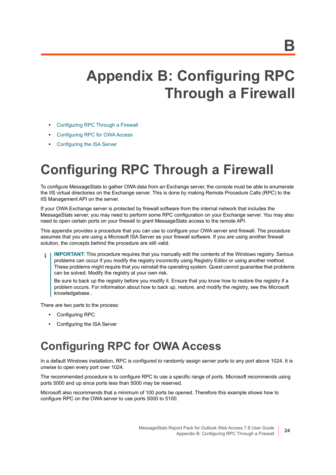# <span id="page-23-3"></span><span id="page-23-0"></span>**Appendix B: Configuring RPC Through a Firewall**

- **•** [Configuring RPC Through a Firewall](#page-23-1)
- **•** [Configuring RPC for OWA Access](#page-23-2)
- **•** [Configuring the ISA Server](#page-24-0)

# <span id="page-23-1"></span>**Configuring RPC Through a Firewall**

To configure MessageStats to gather OWA data from an Exchange server, the console must be able to enumerate the IIS virtual directories on the Exchange server. This is done by making Remote Procedure Calls (RPC) to the IIS Management API on the server.

If your OWA Exchange server is protected by firewall software from the internal network that includes the MessageStats server, you may need to perform some RPC configuration on your Exchange server. You may also need to open certain ports on your firewall to grant MessageStats access to the remote API.

This appendix provides a procedure that you can use to configure your OWA server and firewall. The procedure assumes that you are using a Microsoft ISA Server as your firewall software. If you are using another firewall solution, the concepts behind the procedure are still valid.

**IMPORTANT:** This procedure requires that you manually edit the contents of the Windows registry. Serious f. problems can occur if you modify the registry incorrectly using Registry Editor or using another method. These problems might require that you reinstall the operating system. Quest cannot guarantee that problems can be solved. Modify the registry at your own risk.

Be sure to back up the registry before you modify it. Ensure that you know how to restore the registry if a [problem occurs. For information about how to back up, restore, and modify the registry, see the Microsoft](http://support.microsoft.com/search/?adv=1)  knowledgebase..

There are two parts to the process:

- **•** Configuring RPC
- **•** Configuring the ISA Server

## <span id="page-23-2"></span>**Configuring RPC for OWA Access**

In a default Windows installation, RPC is configured to randomly assign server ports to any port above 1024. It is unwise to open every port over 1024.

The recommended procedure is to configure RPC to use a specific range of ports. Microsoft recommends using ports 5000 and up since ports less than 5000 may be reserved.

Microsoft also recommends that a minimum of 100 ports be opened. Therefore this example shows how to configure RPC on the OWA server to use ports 5000 to 5100.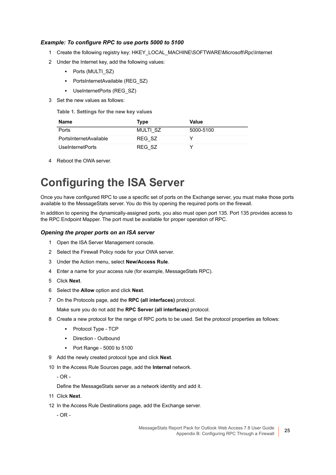#### *Example: To configure RPC to use ports 5000 to 5100*

- 1 Create the following registry key: HKEY\_LOCAL\_MACHINE\SOFTWARE\Microsoft\Rpc\Internet
- 2 Under the Internet key, add the following values:
	- **▪** Ports (MULTI\_SZ)
	- PortsInternetAvailable (REG\_SZ)
	- **▪** UseInternetPorts (REG\_SZ)
- 3 Set the new values as follows:

**Table 1. Settings for the new key values**

| Name                    | <b>Type</b> | Value     |
|-------------------------|-------------|-----------|
| Ports                   | MULTI SZ    | 5000-5100 |
| PortsInternetAvailable  | REG SZ      |           |
| <b>UseInternetPorts</b> | REG SZ      |           |

4 Reboot the OWA server.

## <span id="page-24-0"></span>**Configuring the ISA Server**

Once you have configured RPC to use a specific set of ports on the Exchange server, you must make those ports available to the MessageStats server. You do this by opening the required ports on the firewall.

In addition to opening the dynamically-assigned ports, you also must open port 135. Port 135 provides access to the RPC Endpoint Mapper. The port must be available for proper operation of RPC.

#### *Opening the proper ports on an ISA server*

- 1 Open the ISA Server Management console.
- 2 Select the Firewall Policy node for your OWA server.
- 3 Under the Action menu, select **New/Access Rule**.
- 4 Enter a name for your access rule (for example, MessageStats RPC).
- 5 Click **Next**.
- 6 Select the **Allow** option and click **Next**.
- 7 On the Protocols page, add the **RPC (all interfaces)** protocol.

Make sure you do not add the **RPC Server (all interfaces)** protocol.

- 8 Create a new protocol for the range of RPC ports to be used. Set the protocol properties as follows:
	- **▪** Protocol Type TCP
	- **▪** Direction Outbound
	- **▪** Port Range 5000 to 5100
- 9 Add the newly created protocol type and click **Next**.
- 10 In the Access Rule Sources page, add the **Internal** network.

- OR -

Define the MessageStats server as a network identity and add it.

- 11 Click **Next**.
- 12 In the Access Rule Destinations page, add the Exchange server.
	- OR -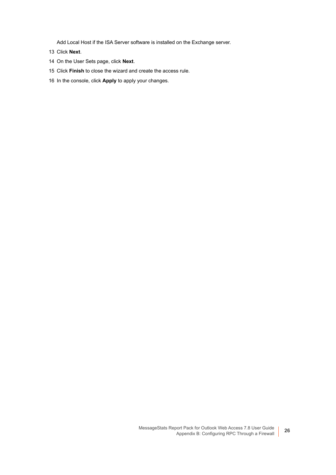Add Local Host if the ISA Server software is installed on the Exchange server.

- 13 Click **Next**.
- 14 On the User Sets page, click **Next**.
- 15 Click **Finish** to close the wizard and create the access rule.
- 16 In the console, click **Apply** to apply your changes.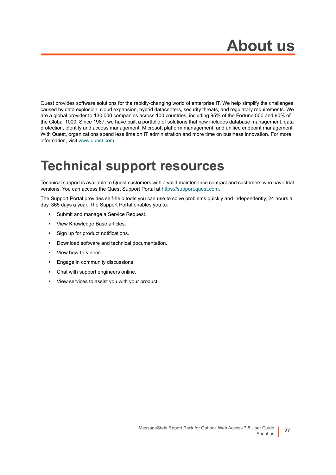<span id="page-26-0"></span>Quest provides software solutions for the rapidly-changing world of enterprise IT. We help simplify the challenges caused by data explosion, cloud expansion, hybrid datacenters, security threats, and regulatory requirements. We are a global provider to 130,000 companies across 100 countries, including 95% of the Fortune 500 and 90% of the Global 1000. Since 1987, we have built a portfolio of solutions that now includes database management, data protection, identity and access management, Microsoft platform management, and unified endpoint management. With Quest, organizations spend less time on IT administration and more time on business innovation. For more information, visit [www.quest.com](https://www.quest.com/company/contact-us.aspx).

## <span id="page-26-1"></span>**Technical support resources**

Technical support is available to Quest customers with a valid maintenance contract and customers who have trial versions. You can access the Quest Support Portal at [https://support.quest.com.](https://support.quest.com)

The Support Portal provides self-help tools you can use to solve problems quickly and independently, 24 hours a day, 365 days a year. The Support Portal enables you to:

- **•** Submit and manage a Service Request.
- **•** View Knowledge Base articles.
- **•** Sign up for product notifications.
- **•** Download software and technical documentation.
- **•** View how-to-videos.
- **•** Engage in community discussions.
- **•** Chat with support engineers online.
- **•** View services to assist you with your product.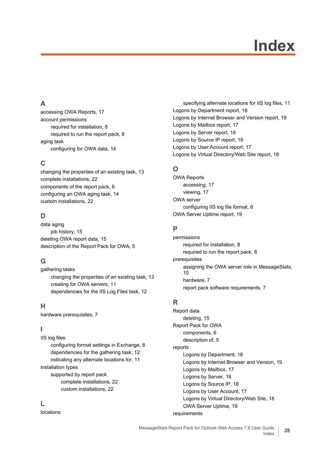# **Index**

## <span id="page-27-0"></span>**A**

[accessing OWA Reports, 17](#page-16-2) account permissions [required for installation, 8](#page-7-6) [required to run the report pack, 8](#page-7-7) aging task [configuring for OWA data, 14](#page-13-3)

### **C**

[changing the properties of an existing task, 13](#page-12-2) [complete installations, 22](#page-21-3) [components of the report pack, 6](#page-5-2) [configuring an OWA aging task, 14](#page-13-3) [custom installations, 22](#page-21-4)

## **D**

data aging [job history, 15](#page-14-1) [deleting OWA report data, 15](#page-14-2) [description of the Report Pack for OWA, 5](#page-4-3)

## **G**

gathering tasks [changing the properties of an existing task, 13](#page-12-2) [creating for OWA servers, 11](#page-10-2) [dependencies for the IIS Log Files task, 12](#page-11-5)

## **H**

[hardware prerequisites, 7](#page-6-4)

## **I**

IIS log files [configuring format settings in Exchange, 8](#page-7-8) [dependencies for the gathering task, 12](#page-11-5) [indicating any alternate locations for, 11](#page-10-3) installation types supported by report pack [complete installations, 22](#page-21-3) [custom installations, 22](#page-21-4)

### **L**

locations

[specifying alternate locations for IIS log files, 11](#page-10-3) [Logons by Department report, 18](#page-17-0) [Logons by Internet Browser and Version report, 19](#page-18-0) [Logons by Mailbox report, 17](#page-16-3) [Logons by Server report, 18](#page-17-1) [Logons by Source IP report, 18](#page-17-2) [Logons by User Account report, 17](#page-16-4) [Logons by Virtual Directory/Web Site report, 18](#page-17-3)

## **O**

OWA Reports [accessing, 17](#page-16-2) [viewing, 17](#page-16-5) OWA server [configuring IIS log file format, 8](#page-7-8) [OWA Server Uptime report, 19](#page-18-1)

### **P**

permissions [required for installation, 8](#page-7-6) [required to run the report pack, 8](#page-7-7) prerequisites [assigning the OWA server role in MessageStats,](#page-9-4)  10 [hardware, 7](#page-6-4) [report pack software requirements, 7](#page-6-5)

## **R**

Report data [deleting, 15](#page-14-2) Report Pack for OWA [components, 6](#page-5-2) [description of, 5](#page-4-3) reports [Logons by Department, 18](#page-17-0) [Logons by Internet Browser and Version, 19](#page-18-0) [Logons by Mailbox, 17](#page-16-3) [Logons by Server, 18](#page-17-1) [Logons by Source IP, 18](#page-17-2) [Logons by User Account, 17](#page-16-4) [Logons by Virtual Directory/Web Site, 18](#page-17-3) [OWA Server Uptime, 19](#page-18-1) requirements